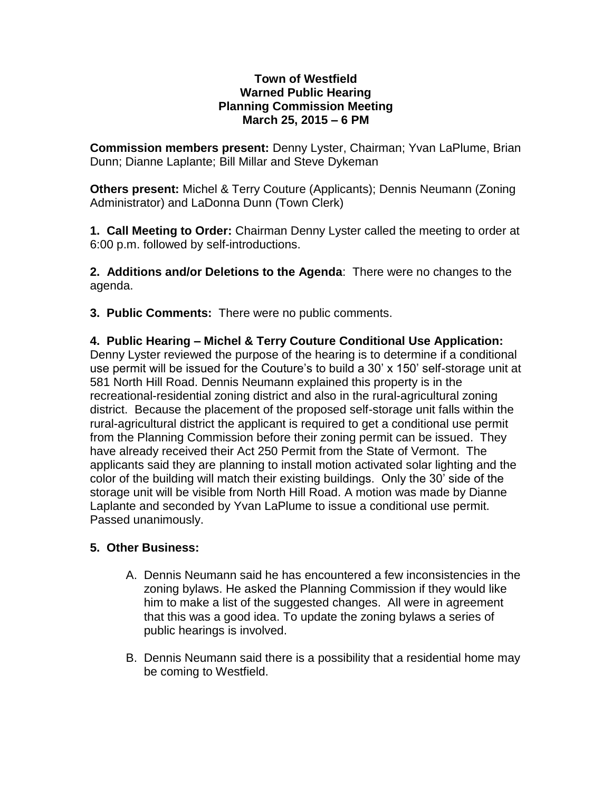## **Town of Westfield Warned Public Hearing Planning Commission Meeting March 25, 2015 – 6 PM**

**Commission members present:** Denny Lyster, Chairman; Yvan LaPlume, Brian Dunn; Dianne Laplante; Bill Millar and Steve Dykeman

**Others present:** Michel & Terry Couture (Applicants); Dennis Neumann (Zoning Administrator) and LaDonna Dunn (Town Clerk)

**1. Call Meeting to Order:** Chairman Denny Lyster called the meeting to order at 6:00 p.m. followed by self-introductions.

**2. Additions and/or Deletions to the Agenda**: There were no changes to the agenda.

**3. Public Comments:** There were no public comments.

**4. Public Hearing – Michel & Terry Couture Conditional Use Application:** Denny Lyster reviewed the purpose of the hearing is to determine if a conditional use permit will be issued for the Couture's to build a 30' x 150' self-storage unit at 581 North Hill Road. Dennis Neumann explained this property is in the recreational-residential zoning district and also in the rural-agricultural zoning district. Because the placement of the proposed self-storage unit falls within the rural-agricultural district the applicant is required to get a conditional use permit from the Planning Commission before their zoning permit can be issued. They have already received their Act 250 Permit from the State of Vermont. The applicants said they are planning to install motion activated solar lighting and the color of the building will match their existing buildings. Only the 30' side of the storage unit will be visible from North Hill Road. A motion was made by Dianne Laplante and seconded by Yvan LaPlume to issue a conditional use permit. Passed unanimously.

## **5. Other Business:**

- A. Dennis Neumann said he has encountered a few inconsistencies in the zoning bylaws. He asked the Planning Commission if they would like him to make a list of the suggested changes. All were in agreement that this was a good idea. To update the zoning bylaws a series of public hearings is involved.
- B. Dennis Neumann said there is a possibility that a residential home may be coming to Westfield.